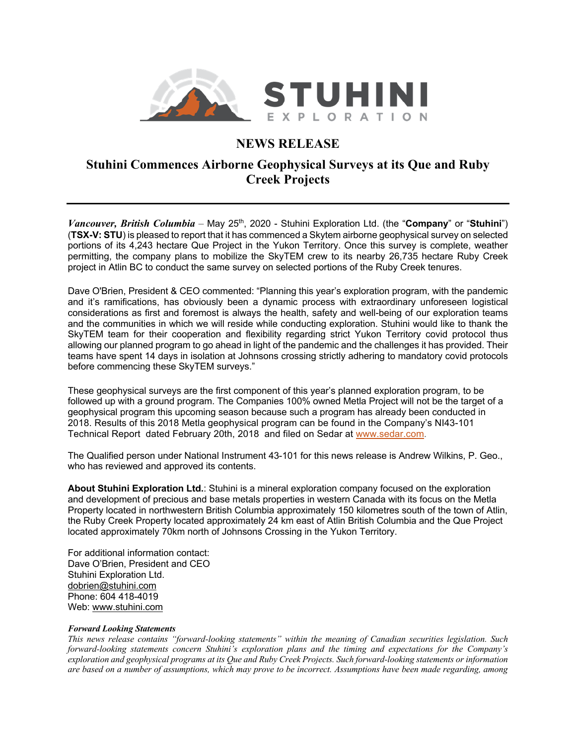

## **NEWS RELEASE**

## **Stuhini Commences Airborne Geophysical Surveys at its Que and Ruby Creek Projects**

*Vancouver, British Columbia* – May 25<sup>th</sup>, 2020 - Stuhini Exploration Ltd. (the "Company" or "Stuhini") (**TSX-V: STU**) is pleased to report that it has commenced a Skytem airborne geophysical survey on selected portions of its 4,243 hectare Que Project in the Yukon Territory. Once this survey is complete, weather permitting, the company plans to mobilize the SkyTEM crew to its nearby 26,735 hectare Ruby Creek project in Atlin BC to conduct the same survey on selected portions of the Ruby Creek tenures.

Dave O'Brien, President & CEO commented: "Planning this year's exploration program, with the pandemic and it's ramifications, has obviously been a dynamic process with extraordinary unforeseen logistical considerations as first and foremost is always the health, safety and well-being of our exploration teams and the communities in which we will reside while conducting exploration. Stuhini would like to thank the SkyTEM team for their cooperation and flexibility regarding strict Yukon Territory covid protocol thus allowing our planned program to go ahead in light of the pandemic and the challenges it has provided. Their teams have spent 14 days in isolation at Johnsons crossing strictly adhering to mandatory covid protocols before commencing these SkyTEM surveys."

These geophysical surveys are the first component of this year's planned exploration program, to be followed up with a ground program. The Companies 100% owned Metla Project will not be the target of a geophysical program this upcoming season because such a program has already been conducted in 2018. Results of this 2018 Metla geophysical program can be found in the Company's NI43-101 Technical Report dated February 20th, 2018 and filed on Sedar at www.sedar.com.

The Qualified person under National Instrument 43-101 for this news release is Andrew Wilkins, P. Geo., who has reviewed and approved its contents.

**About Stuhini Exploration Ltd.**: Stuhini is a mineral exploration company focused on the exploration and development of precious and base metals properties in western Canada with its focus on the Metla Property located in northwestern British Columbia approximately 150 kilometres south of the town of Atlin, the Ruby Creek Property located approximately 24 km east of Atlin British Columbia and the Que Project located approximately 70km north of Johnsons Crossing in the Yukon Territory.

For additional information contact: Dave O'Brien, President and CEO Stuhini Exploration Ltd. dobrien@stuhini.com Phone: 604 418-4019 Web: www.stuhini.com

## *Forward Looking Statements*

*This news release contains "forward-looking statements" within the meaning of Canadian securities legislation. Such forward-looking statements concern Stuhini's exploration plans and the timing and expectations for the Company's exploration and geophysical programs at its Que and Ruby Creek Projects. Such forward-looking statements or information are based on a number of assumptions, which may prove to be incorrect. Assumptions have been made regarding, among*